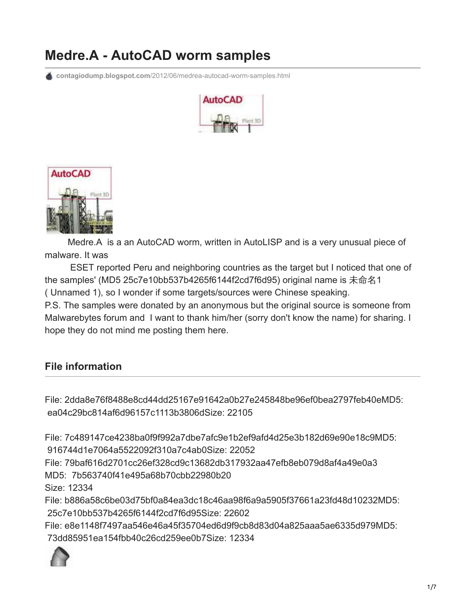# **Medre.A - AutoCAD worm samples**

**contagiodump.blogspot.com**[/2012/06/medrea-autocad-worm-samples.html](http://contagiodump.blogspot.com/2012/06/medrea-autocad-worm-samples.html)





 Medre.A is a an AutoCAD worm, written in AutoLISP and is a very unusual piece of malware. It was

 ESET reported Peru and neighboring countries as the target but I noticed that one of the samples' (MD5 25c7e10bb537b4265f6144f2cd7f6d95) original name is 未命名1 ( Unnamed 1), so I wonder if some targets/sources were Chinese speaking. P.S. The samples were donated by an anonymous but the original source is someone from Malwarebytes forum and I want to thank him/her (sorry don't know the name) for sharing. I hope they do not mind me posting them here.

## **File information**

File: 2dda8e76f8488e8cd44dd25167e91642a0b27e245848be96ef0bea2797feb40eMD5: ea04c29bc814af6d96157c1113b3806dSize: 22105

File: 7c489147ce4238ba0f9f992a7dbe7afc9e1b2ef9afd4d25e3b182d69e90e18c9MD5: 916744d1e7064a5522092f310a7c4ab0Size: 22052

File: 79baf616d2701cc26ef328cd9c13682db317932aa47efb8eb079d8af4a49e0a3 MD5: 7b563740f41e495a68b70cbb22980b20

Size: 12334

File: b886a58c6be03d75bf0a84ea3dc18c46aa98f6a9a5905f37661a23fd48d10232MD5: 25c7e10bb537b4265f6144f2cd7f6d95Size: 22602

File: e8e1148f7497aa546e46a45f35704ed6d9f9cb8d83d04a825aaa5ae6335d979MD5: 73dd85951ea154fbb40c26cd259ee0b7Size: 12334

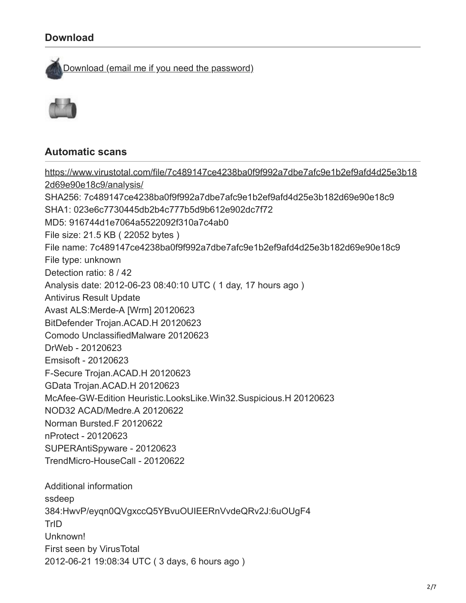## **Download**

[Download \(email me if you need the password\)](http://www.mediafire.com/?sb3pol7t33u4rdj)



### **Automatic scans**

[https://www.virustotal.com/file/7c489147ce4238ba0f9f992a7dbe7afc9e1b2ef9afd4d25e3b18](https://www.virustotal.com/file/7c489147ce4238ba0f9f992a7dbe7afc9e1b2ef9afd4d25e3b182d69e90e18c9/analysis/) 2d69e90e18c9/analysis/ SHA256: 7c489147ce4238ba0f9f992a7dbe7afc9e1b2ef9afd4d25e3b182d69e90e18c9 SHA1: 023e6c7730445db2b4c777b5d9b612e902dc7f72 MD5: 916744d1e7064a5522092f310a7c4ab0 File size: 21.5 KB ( 22052 bytes ) File name: 7c489147ce4238ba0f9f992a7dbe7afc9e1b2ef9afd4d25e3b182d69e90e18c9 File type: unknown Detection ratio: 8 / 42 Analysis date: 2012-06-23 08:40:10 UTC ( 1 day, 17 hours ago ) Antivirus Result Update Avast ALS:Merde-A [Wrm] 20120623 BitDefender Trojan.ACAD.H 20120623 Comodo UnclassifiedMalware 20120623 DrWeb - 20120623 Emsisoft - 20120623 F-Secure Trojan.ACAD.H 20120623 GData Trojan.ACAD.H 20120623 McAfee-GW-Edition Heuristic.LooksLike.Win32.Suspicious.H 20120623 NOD32 ACAD/Medre.A 20120622 Norman Bursted.F 20120622 nProtect - 20120623 SUPERAntiSpyware - 20120623 TrendMicro-HouseCall - 20120622 Additional information ssdeep 384:HwvP/eyqn0QVgxccQ5YBvuOUIEERnVvdeQRv2J:6uOUgF4 TrID Unknown! First seen by VirusTotal 2012-06-21 19:08:34 UTC ( 3 days, 6 hours ago )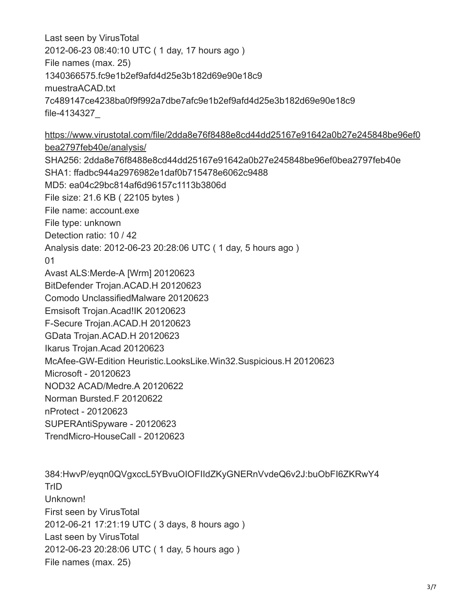Last seen by VirusTotal 2012-06-23 08:40:10 UTC ( 1 day, 17 hours ago ) File names (max. 25) 1340366575.fc9e1b2ef9afd4d25e3b182d69e90e18c9 muestraACAD.txt 7c489147ce4238ba0f9f992a7dbe7afc9e1b2ef9afd4d25e3b182d69e90e18c9 file-4134327\_

[https://www.virustotal.com/file/2dda8e76f8488e8cd44dd25167e91642a0b27e245848be96ef0](https://www.virustotal.com/file/2dda8e76f8488e8cd44dd25167e91642a0b27e245848be96ef0bea2797feb40e/analysis/) bea2797feb40e/analysis/ SHA256: 2dda8e76f8488e8cd44dd25167e91642a0b27e245848be96ef0bea2797feb40e SHA1: ffadbc944a2976982e1daf0b715478e6062c9488 MD5: ea04c29bc814af6d96157c1113b3806d File size: 21.6 KB ( 22105 bytes ) File name: account.exe File type: unknown Detection ratio: 10 / 42 Analysis date: 2012-06-23 20:28:06 UTC ( 1 day, 5 hours ago ) 01 Avast ALS:Merde-A [Wrm] 20120623 BitDefender Trojan.ACAD.H 20120623 Comodo UnclassifiedMalware 20120623 Emsisoft Trojan.Acad!IK 20120623 F-Secure Trojan.ACAD.H 20120623 GData Trojan.ACAD.H 20120623 Ikarus Trojan.Acad 20120623 McAfee-GW-Edition Heuristic.LooksLike.Win32.Suspicious.H 20120623 Microsoft - 20120623 NOD32 ACAD/Medre.A 20120622 Norman Bursted.F 20120622 nProtect - 20120623 SUPERAntiSpyware - 20120623 TrendMicro-HouseCall - 20120623

384:HwvP/eyqn0QVgxccL5YBvuOIOFIIdZKyGNERnVvdeQ6v2J:buObFI6ZKRwY4 TrID Unknown! First seen by VirusTotal 2012-06-21 17:21:19 UTC ( 3 days, 8 hours ago ) Last seen by VirusTotal 2012-06-23 20:28:06 UTC ( 1 day, 5 hours ago ) File names (max. 25)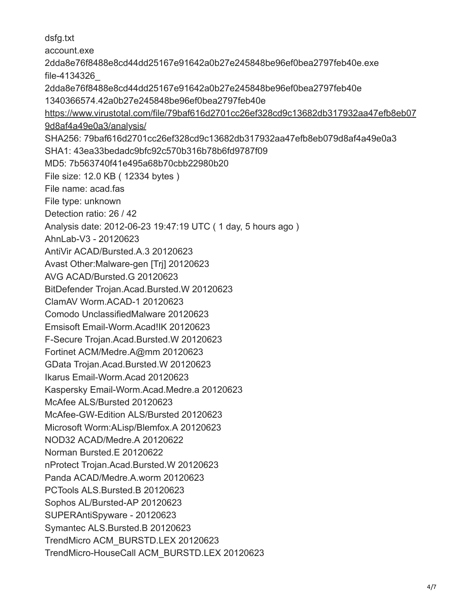dsfg.txt account.exe 2dda8e76f8488e8cd44dd25167e91642a0b27e245848be96ef0bea2797feb40e.exe file-4134326\_ 2dda8e76f8488e8cd44dd25167e91642a0b27e245848be96ef0bea2797feb40e 1340366574.42a0b27e245848be96ef0bea2797feb40e [https://www.virustotal.com/file/79baf616d2701cc26ef328cd9c13682db317932aa47efb8eb07](https://www.virustotal.com/file/79baf616d2701cc26ef328cd9c13682db317932aa47efb8eb079d8af4a49e0a3/analysis/) 9d8af4a49e0a3/analysis/ SHA256: 79baf616d2701cc26ef328cd9c13682db317932aa47efb8eb079d8af4a49e0a3 SHA1: 43ea33bedadc9bfc92c570b316b78b6fd9787f09 MD5: 7b563740f41e495a68b70cbb22980b20 File size: 12.0 KB ( 12334 bytes ) File name: acad.fas File type: unknown Detection ratio: 26 / 42 Analysis date: 2012-06-23 19:47:19 UTC ( 1 day, 5 hours ago ) AhnLab-V3 - 20120623 AntiVir ACAD/Bursted.A.3 20120623 Avast Other:Malware-gen [Trj] 20120623 AVG ACAD/Bursted.G 20120623 BitDefender Trojan.Acad.Bursted.W 20120623 ClamAV Worm.ACAD-1 20120623 Comodo UnclassifiedMalware 20120623 Emsisoft Email-Worm.Acad!IK 20120623 F-Secure Trojan.Acad.Bursted.W 20120623 Fortinet ACM/Medre.A@mm 20120623 GData Trojan.Acad.Bursted.W 20120623 Ikarus Email-Worm.Acad 20120623 Kaspersky Email-Worm.Acad.Medre.a 20120623 McAfee ALS/Bursted 20120623 McAfee-GW-Edition ALS/Bursted 20120623 Microsoft Worm:ALisp/Blemfox.A 20120623 NOD32 ACAD/Medre.A 20120622 Norman Bursted.E 20120622 nProtect Trojan.Acad.Bursted.W 20120623 Panda ACAD/Medre.A.worm 20120623 PCTools ALS.Bursted.B 20120623 Sophos AL/Bursted-AP 20120623 SUPERAntiSpyware - 20120623 Symantec ALS.Bursted.B 20120623 TrendMicro ACM\_BURSTD.LEX 20120623 TrendMicro-HouseCall ACM\_BURSTD.LEX 20120623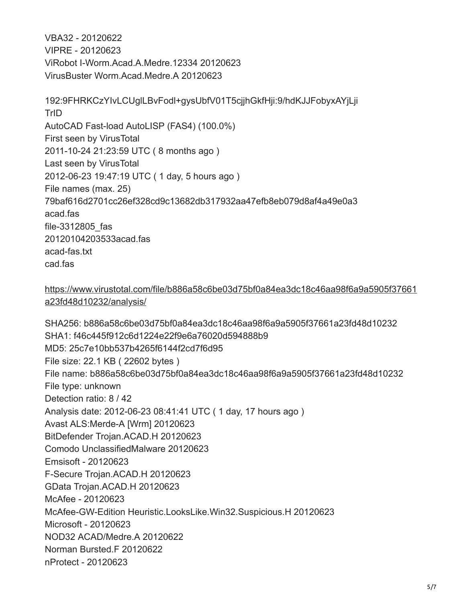VBA32 - 20120622 VIPRE - 20120623 ViRobot I-Worm.Acad.A.Medre.12334 20120623 VirusBuster Worm.Acad.Medre.A 20120623

192:9FHRKCzYIvLCUglLBvFodl+gysUbfV01T5cjjhGkfHji:9/hdKJJFobyxAYjLji **TrID** AutoCAD Fast-load AutoLISP (FAS4) (100.0%) First seen by VirusTotal 2011-10-24 21:23:59 UTC ( 8 months ago ) Last seen by VirusTotal 2012-06-23 19:47:19 UTC ( 1 day, 5 hours ago ) File names (max. 25) 79baf616d2701cc26ef328cd9c13682db317932aa47efb8eb079d8af4a49e0a3 acad.fas file-3312805\_fas 20120104203533acad.fas acad-fas.txt cad.fas

#### [https://www.virustotal.com/file/b886a58c6be03d75bf0a84ea3dc18c46aa98f6a9a5905f37661](https://www.virustotal.com/file/b886a58c6be03d75bf0a84ea3dc18c46aa98f6a9a5905f37661a23fd48d10232/analysis/) a23fd48d10232/analysis/

SHA256: b886a58c6be03d75bf0a84ea3dc18c46aa98f6a9a5905f37661a23fd48d10232 SHA1: f46c445f912c6d1224e22f9e6a76020d594888b9 MD5: 25c7e10bb537b4265f6144f2cd7f6d95 File size: 22.1 KB ( 22602 bytes ) File name: b886a58c6be03d75bf0a84ea3dc18c46aa98f6a9a5905f37661a23fd48d10232 File type: unknown Detection ratio: 8 / 42 Analysis date: 2012-06-23 08:41:41 UTC ( 1 day, 17 hours ago ) Avast ALS:Merde-A [Wrm] 20120623 BitDefender Trojan.ACAD.H 20120623 Comodo UnclassifiedMalware 20120623 Emsisoft - 20120623 F-Secure Trojan.ACAD.H 20120623 GData Trojan.ACAD.H 20120623 McAfee - 20120623 McAfee-GW-Edition Heuristic.LooksLike.Win32.Suspicious.H 20120623 Microsoft - 20120623 NOD32 ACAD/Medre.A 20120622 Norman Bursted.F 20120622 nProtect - 20120623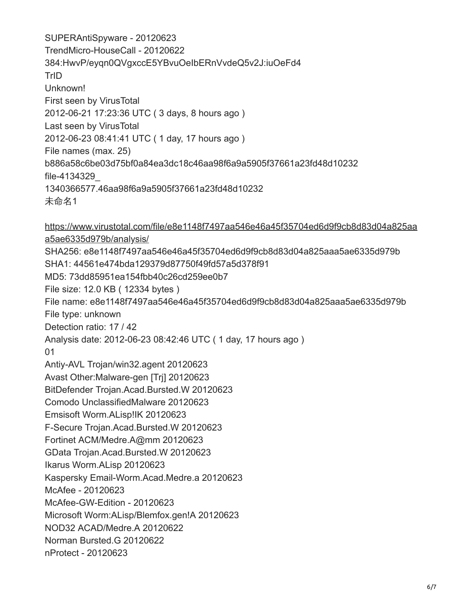SUPERAntiSpyware - 20120623 TrendMicro-HouseCall - 20120622 384:HwvP/eyqn0QVgxccE5YBvuOeIbERnVvdeQ5v2J:iuOeFd4 TrID Unknown! First seen by VirusTotal 2012-06-21 17:23:36 UTC ( 3 days, 8 hours ago ) Last seen by VirusTotal 2012-06-23 08:41:41 UTC ( 1 day, 17 hours ago ) File names (max. 25) b886a58c6be03d75bf0a84ea3dc18c46aa98f6a9a5905f37661a23fd48d10232 file-4134329\_ 1340366577.46aa98f6a9a5905f37661a23fd48d10232 未命名1

[https://www.virustotal.com/file/e8e1148f7497aa546e46a45f35704ed6d9f9cb8d83d04a825aa](https://www.virustotal.com/file/e8e1148f7497aa546e46a45f35704ed6d9f9cb8d83d04a825aaa5ae6335d979b/analysis/) a5ae6335d979b/analysis/ SHA256: e8e1148f7497aa546e46a45f35704ed6d9f9cb8d83d04a825aaa5ae6335d979b SHA1: 44561e474bda129379d87750f49fd57a5d378f91 MD5: 73dd85951ea154fbb40c26cd259ee0b7 File size: 12.0 KB ( 12334 bytes ) File name: e8e1148f7497aa546e46a45f35704ed6d9f9cb8d83d04a825aaa5ae6335d979b File type: unknown Detection ratio: 17 / 42 Analysis date: 2012-06-23 08:42:46 UTC ( 1 day, 17 hours ago ) 01 Antiy-AVL Trojan/win32.agent 20120623 Avast Other:Malware-gen [Trj] 20120623 BitDefender Trojan.Acad.Bursted.W 20120623 Comodo UnclassifiedMalware 20120623 Emsisoft Worm.ALisp!IK 20120623 F-Secure Trojan.Acad.Bursted.W 20120623 Fortinet ACM/Medre.A@mm 20120623 GData Trojan.Acad.Bursted.W 20120623 Ikarus Worm.ALisp 20120623 Kaspersky Email-Worm.Acad.Medre.a 20120623 McAfee - 20120623 McAfee-GW-Edition - 20120623 Microsoft Worm:ALisp/Blemfox.gen!A 20120623 NOD32 ACAD/Medre.A 20120622 Norman Bursted.G 20120622 nProtect - 20120623